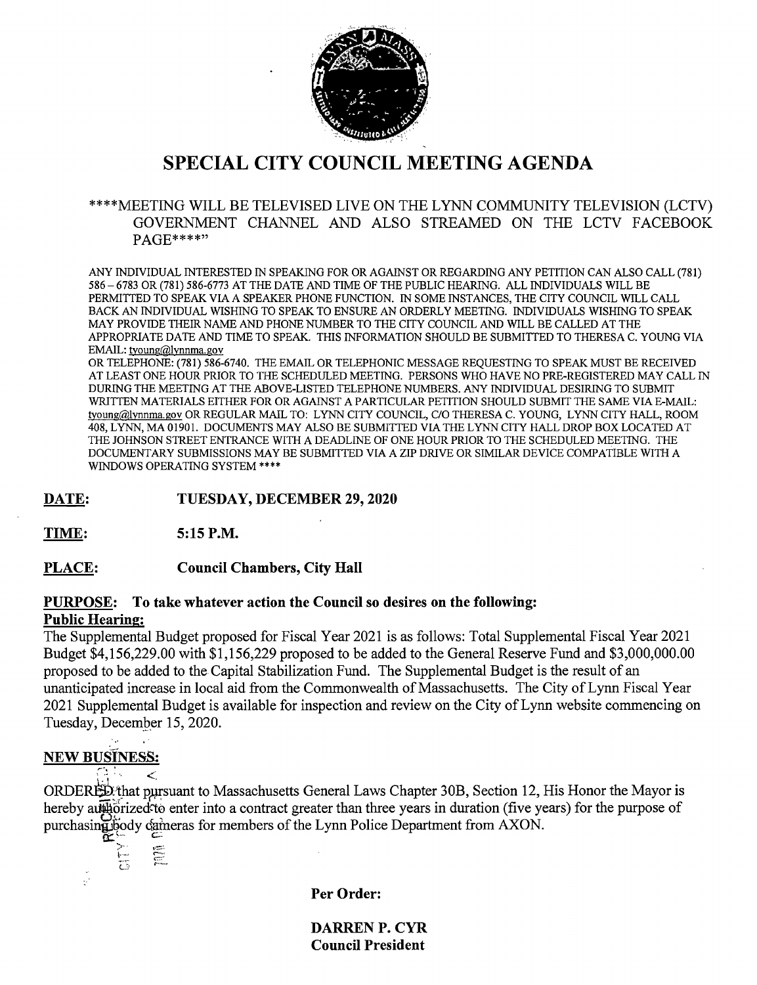

# SPECIAL CITY COUNCIL MEETING AGENDA

#### \*\*\*\*MEETING WILL BE TELEVISED LIVE ON THE LYNN COMMUNITY TELEVISION (LCTV) GOVERNMENT CHANNEL AND ALSO STREAMED ON THE LCTV FACEBOOK PAGE\*\*\*\*"

ANY INDIVIDUAL INTERESTED IN SPEAKING FOR OR AGAINST OR REGARDING ANY PETITION CAN ALSO CALL (781) 586 - 6783 OR (781) 586-6773 AT THE DATE AND TIME OF THE PUBLIC HEARING. ALL INDIVIDUALS WILL BE PERMITTED TO SPEAK VIA A SPEAKER PHONE FUNCTION. IN SOME INSTANCES, THE CITY COUNCIL WILL CALL BACK AN INDIVIDUAL WISHING TO SPEAK TO ENSURE AN ORDERLY MEETING. INDIVIDUALS WISHING TO SPEAK MAY PROVIDE THEIR NAME AND PHONE NUMBER TO THE CITY COUNCIL AND WILL BE CALLED AT THE APPROPRIATE DATE AND TIME TO SPEAK. THIS INFORMATION SHOULD BE SUBMITTED TO THERESA C. YOUNG VIA EMAIL: tyoung@lynnma.gov

OR TELEPHONE: (781) 586-6740. THE EMAIL OR TELEPHONIC MESSAGE REQUESTING TO SPEAK MUST BE RECEIVED AT LEAST ONE HOUR PRIOR TO THE SCHEDULED MEETING. PERSONS WHO HAVE NO PRE-REGISTERED MAY CALL IN DURING THE MEETING AT THE ABOVE-LISTED TELEPHONE NUMBERS. ANY INDIVIDUAL DESIRING TO SUBMIT WRITTEN MATERIALS EITHER FOR OR AGAINST A PARTICULAR PETITION SHOULD SUBMIT THE SAME VIA E-MAIL: tvoung@lvnnma.gov OR REGULAR MAIL TO: LYNN CITY COUNCIL, C/O THERESA C. YOUNG, LYNN CITY HALL, ROOM 408, LYNN, MA 01901. DOCUMENTS MAY ALSO BE SUBMITTED VIA THE LYNN CITY HALL DROP BOX LOCATED AT THE JOHNSON STREET ENTRANCE WITH A DEADLINE OF ONE HOUR PRIOR TO THE SCHEDULED MEETING. THE DOCUMENTARY SUBMISSIONS MAY BE SUBMITTED VIA A ZIP DRIVE OR SIMILAR DEVICE COMPATIBLE WITH A WINDOWS OPERATING SYSTEM \*\*\*\*

DATE: TUESDAY, DECEMBER 29, 2020

TIME: 5:15 P.M.

PLACE: Council Chambers, City Hall

#### PURPOSE: To take whatever action the Council so desires on the following: Public Hearing:

The Supplemental Budget proposed for Fiscal Year 2021 is as follows: Total Supplemental Fiscal Year 2021 Budget \$4,156,229.00 with \$1,156,229 proposed to be added to the General Reserve Fund and \$3,000,000.00 proposed to be added to the Capital Stabilization Fund. The Supplemental Budget is the result of an unanticipated increase in local aid from the Commonwealth of Massachusetts. The City of Lynn Fiscal Year 2021 Supplemental Budget is available for inspection and review on the City of Lynn website commencing on Tuesday, December 15, 2020.

### NEW BuSINESS:

 $\overline{\phantom{a}}$  $\mathbb{R}^n \times \mathbb{R}$ 

ORDERED that pursuant to Massachusetts General Laws Chapter 30B, Section 12, His Honor the Mayor is hereby autility and the enterment of a contract greater than three years in duration (five years) for the purpose of purchasing body cameras for members of the Lynn Police Department from AXON.

 $\begin{matrix} 1 & 1 \\ 1 & 1 \end{matrix}$ 

Per Order:

DARREN P. CYR Council President